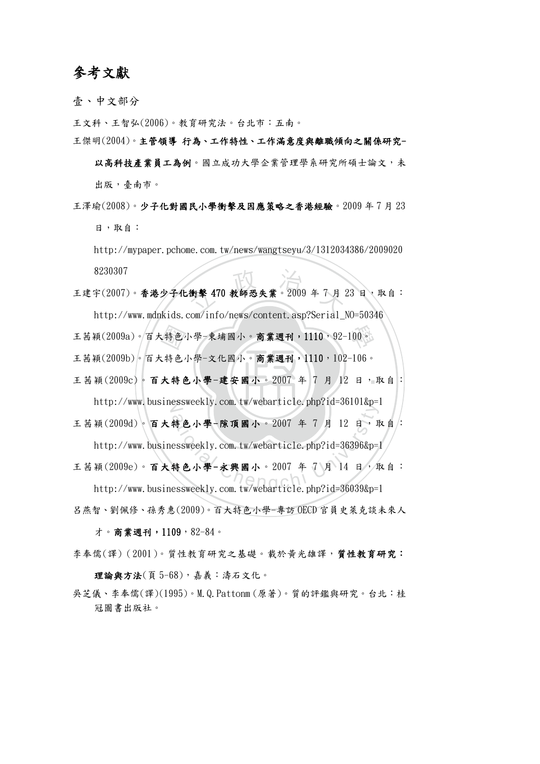## 參考文獻

壹、中文部分

- 王文科、王智弘(2006)。教育研究法。台北市:五南。
- 王傑明(2004)。主管領導 行為、工作特性、工作滿意度與離職傾向之關係研究-

以高科技產業員工為例。國立成功大學企業管理學系研究所碩士論文,未 出版,臺南市。

王澤瑜(2008)。少子化對國民小學衝擊及因應策略之香港經驗。2009 年 7 月 23 日,取自:

http://mypaper.pchome.com.tw/news/wangtseyu/3/1312034386/2009020 8230307

- 街擊 470 教師恐失業。2009 年 7 月 2 王建宇 $(2007)$ 。香港少子化衝擊 470 教師恐失業。2009年7月23日,取自: http://www.mdnkids.com/info/news/content.asp?Serial\_NO=50346
- 100 王茜穎(2009a)。百大特色小學-東埔國小。**商業週刊,1110**,92-100。
- 王茜穎(2009b)。百大特色小學-文化國小。商業週刊,1110,102-106。
- ‧(特色)<br>(特色)<br>大特色 王茜穎(2009c)。百大特色小學-建安國小。2007年 7月 12日,取自:

N http://www.businessweekly.com.tw/webarticle.php?id=36101&p=1

- 王茜穎 (2009d)。百大特色小學-隙頂國小。2007年7月12日,取自: http://www.businessweekly.com.tw/webarticle.php?id=36396&p=1
- standary.com.tw/webartrefe.php?id=36796&p=<br>特色小學-隙頂國小。2007 年 7 月 12 日,<br>essweekly.com.tw/webarticle.php?id=36396&p=<br>特色小學-永興國小。2007 年 7 月 14 日,<sub>月</sub><br>essweekly.com.tw/webarticle.php?id=36039&p= 王茜穎 (2009e)。百大特色小學-永興國小。2007年7月14日, 取自: http://www.businessweekly.com.tw/webarticle.php?id=36039&p=1
- 呂燕智、劉佩修、孫秀惠(2009)。百大特色小學-專訪 OECD 官員史萊克談未來人

才。商業週刊,1109,82-84。

- 李奉儒(譯)(2001)。質性教育研究之基礎。載於黃光雄譯,質性教育研究: 理論與方法(頁5-68), 嘉義: 濤石文化。
- 吳芝儀、李奉儒(譯)(1995)。M.Q.Pattonm (原著)。質的評鑑與研究。台北:桂 冠圖書出版社。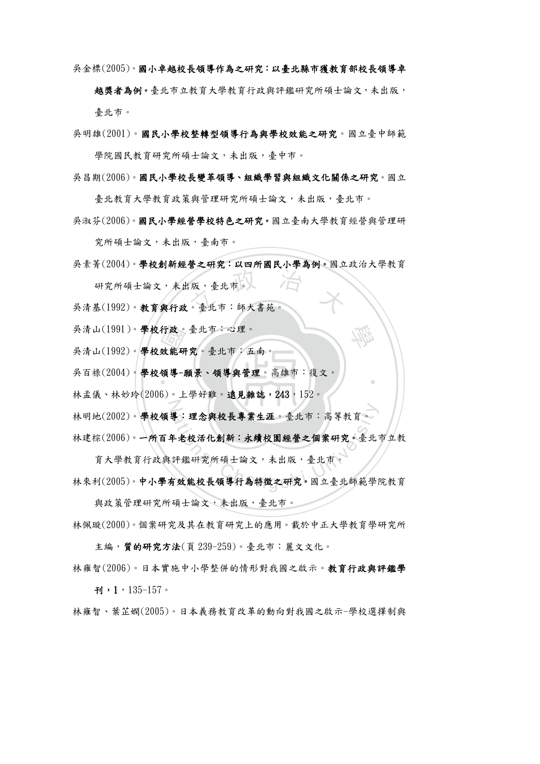吳金標(2005)。國小卓越校長領導作為之硏究:以臺北縣市獲教育部校長領導卓

越獎者為例。臺北市立教育大學教育行政與評鑑研究所碩士論文,未出版, 臺北市。

- 吳明雄(2001)。國民小學校整轉型領導行為與學校效能之研究。國立臺中師範 學院國民教育研究所碩士論文,未出版,臺中市。
- 吳昌期(2006)。國民小學校長變革領導、組織學習與組織文化關係之研究。國立

臺北教育大學教育政策與管理研究所碩士論文,未出版,臺北市。

吳淑芬(2006)。國民小學經營學校特色之研究。國立臺南大學教育經營與管理研

究所碩士論文,未出版,臺南市。

吳素菁(2004)。學校創新經營之硏究:以四所國民小學為例。國立政治大學教育

學

‧

研究所碩士論文,未出版,臺北市。

- 研究所碩士論文,未出版,臺北市。<br>研究所碩士論文,未出版,臺北市。<br>吳清基(1992)。**教育與行政**。臺北市:師大書苑。
- 吳清山(1991)。學校行政。臺北市:心理。
- 行政。<br>效能導<br>6、 吳清山(1992)。學校效能研究。臺北市:五南。
- 吳百祿(2004)。學校領導-願景、領導與管理。高雄市:復文。
- 林孟儀、林妙玲(2006)。上學好難。遠見雜誌,243,152。
- N 林明地(2002)。學校領導:理念與校長專業生涯。臺北市:高等教育。

林明地(2002)。**學校領導:理念與校長專業生涯**。臺北市:高等教育。<br>林建棕(2006)。一所百年老校活化創新:永續校園經營之個案研究。臺北市立教<br>育大學教育行政與評鑑研究所碩士論文,未出版,臺北市。<br>林來利(2005)。中小學有效能校長領導行為特徵之研究。國立臺北師範學院教育 林建棕(2006)。一所百年老校活化創新:永續校園經營之個案硏究。臺北市立教

育大學教育行政與評鑑硏究所碩士論文,未出版,臺北市。

與政策管理硏究所碩士論文,未出版,臺北市。

林佩璇(2000)。個案研究及其在教育研究上的應用。載於中正大學教育學研究所

主編,質的研究方法(頁 239-259)。臺北市: 麗文文化。

林雍智(2006)。日本實施中小學整併的情形對我國之啟示。教育行政與評鑑學

刊, $1,135-157$ 。

林雍智、葉芷嫻(2005)。日本義務教育改革的動向對我國之啟示-學校選擇制與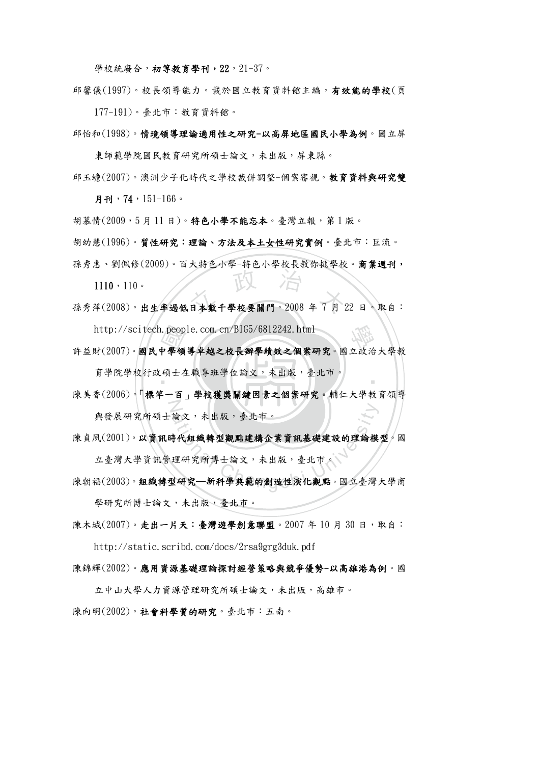學校統廢合,初等教育學刊,22,21-37。

- 邱馨儀(1997)。校長領導能力。載於國立教育資料館主編,有效能的學校(頁 177-191)。臺北市:教育資料館。
- 邱怡和(1998)。情境領導理論適用性之研究-以高屏地區國民小學為例。國立屏

東師範學院國民教育研究所碩士論文,未出版,屏東縣。

邱玉蟾(2007)。澳洲少子化時代之學校裁併調整-個案審視。教育資料與研究雙

月刊,74,151-166。

- 胡慕情(2009,5月11日)。特色小學不能忘本。臺灣立報,第1版。
- 胡幼慧(1996)。質性研究:理論、方法及本土女性研究實例。臺北市:巨流。
- 1110,110。<br>孫秀萍(2008)。出生率過低日本數千學校要關門。2008年7月22日。取自: 孫秀惠、劉佩修(2009)。百大特色小學-特色小學校長教你挑學校。商業週刊,  $1110 \cdot 110$ 。
- 

http://scitech.people.com.cn/BIG5/6812242.html

- eop<br>中學領<br><br><br><br><br><br><br><br><br><br><br><br> http://scitech.people.com.cn/BIG5/6812242.html<br>許益財(2007)。國民中學領導卓越之校長辦學績效之個案研究。國立政治大學教 ‧ 育學院學校行政碩士在職專班學位論文,未出版,臺北市。
- N 陳美香(2006)。「標竿一百」學校獲獎關鍵因素之個案研究。輔仁大學教育領導 與發展研究所碩士論文,未出版,臺北市。
- 與發展研究所碩士論文,未出版,臺北市。<br>陳貞夙(2001)。以資訊時代組織轉型觀點建構企業資訊基礎建設的理論模型。國<br>立臺灣大學資訊管理研究所博士論文,未出版,臺北市。<br>陳朝福(2003)。組織轉型研究—新科學典範的創造性演化觀點。國立臺灣大學商 陳貞夙(2001)。以資訊時代組織轉型觀點建構企業資訊基礎建設的理論模型。國

立臺灣大學資訊管理研究所博士論文,未出版,臺北市。

- 學研究所博士論文,未出版,臺北市。
- 陳木城(2007)。走出一片天:臺灣遊學創意聯盟。2007年10月30日,取自:

http://static.scribd.com/docs/2rsa9grg3duk.pdf

陳錦輝(2002)。應用資源基礎理論探討經營策略與競爭優勢-以高雄港為例。國

立中山大學人力資源管理研究所碩士論文,未出版,高雄市。

陳向明(2002)。社會科學質的研究。臺北市:五南。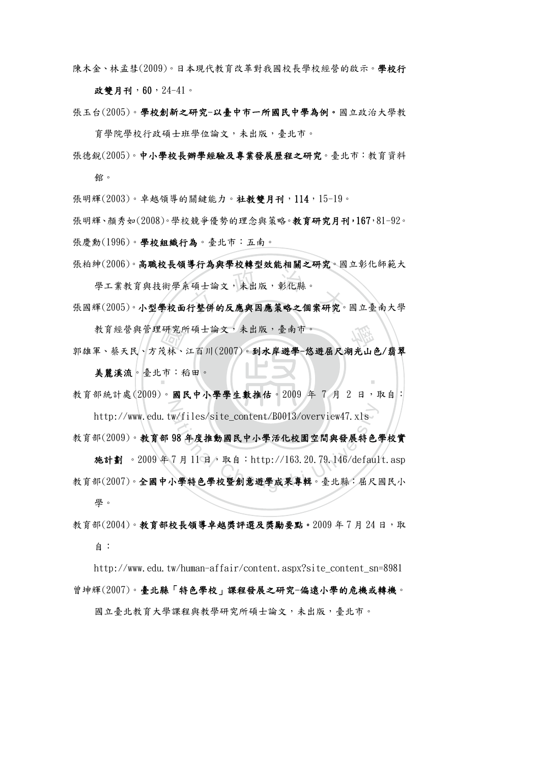陳木金、林孟彗(2009)。日本現代教育改革對我國校長學校經營的啟示。學校行

政雙月刊,60,24-41。

- 張玉台(2005)。學校創新之研究-以臺中市一所國民中學為例。國立政治大學教 育學院學校行政碩士班學位論文,未出版,臺北市。
- 張德銳(2005)。中小學校長辦學經驗及專業發展歷程之研究。臺北市:教育資料 館。

張明輝(2003)。卓越領導的關鍵能力。社教雙月刊,114,15-19。

張明輝、顏秀如(2008)。學校競爭優勢的理念與策略。教育研究月刊,167,81-92。

張慶勳(1996)。學校組織行為。臺北市:五南。

- 2008年 2009年 2009年 2009年 2009年 2009年 2009年 2009年 2009年 2009年 2009年 2009年 2009年 2009年<br>學工業教育與技術學系碩士論文,未出版,彰化縣。<br>張國輝(2005)。小型學校面行整併的反應與因應策略之個案研究。國立臺南大學 張柏紳(2006)。高職校長領導行為與學校轉型效能相關之研究。國立彰化師範大 學工業教育與技術學系碩士論文,未出版,彰化縣。
- 

教育經營與管理研究所碩士論文,未出版,臺南市。

研究所<br>技林<br>市 教育經營與管理研究所碩士論文,未出版,臺南市。<br>郭雄軍、蔡天民、方茂林、江百川(2007)。**到水岸遊學-悠遊屈尺湖光山色/翡翠** 

‧

美麗溪流。臺北市:稻田。

- N 教育部統計處(2009)。國民中小學學生數推估。2009 年 7 月 2 日,取自: http://www.edu.tw/files/site\_content/B0013/overview47.xls
- 教育部(2009)。教育部 98 年度推動國民中小學活化校園空間與發展特色學校實

http://www.edu.tw/files/site\_content/B0013/overview47.xls<br>教育部(2009)。教育部 98 年度推動國民中小學活化校園空間與發展特色學校實<br>施計劃 。2009年7月11日,取自:http://163.20.79.146/default.asp<br>教育部(2007)。全國中小學特色學校暨創意遊學成果專輯。臺北縣:屈尺國民小 施計劃 。2009年7月11日,取自:http://163.20.79.146/default.asp 學。

教育部 $(2004)$ 。教育部校長領導卓越獎評選及獎勵要點。2009年7月24日,取 自:

http://www.edu.tw/human-affair/content.aspx?site\_content\_sn=8981 曾坤輝(2007)。臺北縣「特色學校」課程發展之研究-偏遠小學的危機或轉機。

國立臺北教育大學課程與教學研究所碩士論文,未出版,臺北市。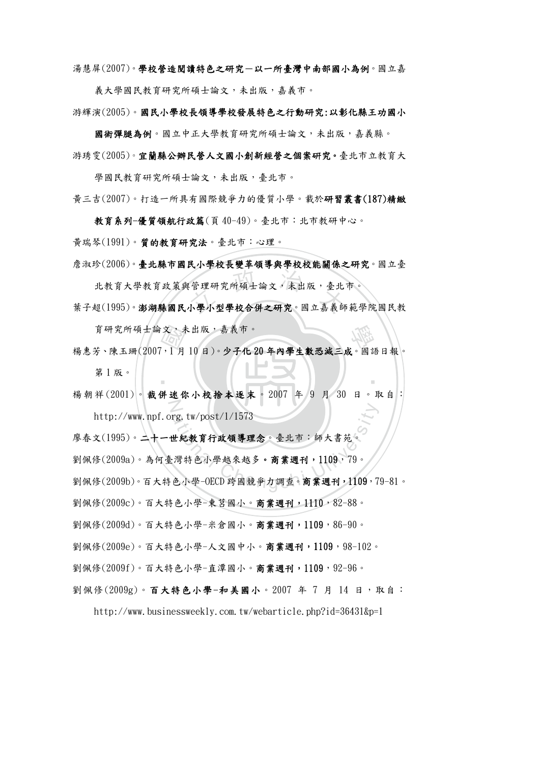湯慧屏(2007)。學校營造閱讀特色之研究一以一所臺灣中南部國小為例。國立嘉

義大學國民教育研究所碩士論文,未出版,嘉義市。

游輝演(2005)。國民小學校長領導學校發展特色之行動研究:以彰化縣王功國小

國術彈腿為例。國立中正大學教育研究所碩士論文,未出版,嘉義縣。

游琇雯(2005)。宜蘭縣公辦民營人文國小創新經營之個案研究。臺北市立教育大

學國民教育硏究所碩士論文,未出版,臺北市。

黃三吉(2007)。打造一所具有國際競爭力的優質小學。載於研習叢書(187)精緻

教育系列-優質領航行政篇(頁 40-49)。臺北市:北市教研中心。

黃瑞琴(1991)。質的教育研究法。臺北市:心理。

詹淑珍(2006)。臺北縣市國民小學校長變革領導與學校校能關係之研究。國立臺

北教育大學教育政策與管理研究所碩士論文,未出版,臺北市。

<sup>立</sup> <sup>政</sup> <sup>治</sup> <sup>大</sup> 葉子超(1995)。澎湖縣國民小學小型學校合併之研究。國立嘉義師範學院國民教

育研究所碩士論文,未出版,嘉義市。

- 育研究所碩士論文,未出版,嘉義市。<br>楊惠芳、陳玉珊(2007,1月10日)。**少子化 20年內學生數恐減三成**。國語日報。<br>第1版。<br><sup>提 知 詳 (2001)。 <del># は 淡 告 し 控 拾 よ 浮</del> 土 2007, 午 0, 日 20, 日 西 台</sup> ‧ 第 1 版。
- N rg.tw/post/1/1573<br>世紀教育行政領導理念。臺北市:師大書苑。<br>·灣特色小學越來越多。商業週刊,1109,79。<br>色小學-OECD 跨國競爭力調查。商業週刊,1109,7 楊朝祥 (2001)。裁併迷你小校捨本逐末。 2007 年 9 月 30 日。取自: http://www.npf.org.tw/post/1/1573

廖春文(1995)。二十一世紀教育行政領導理念。臺北市:師大書苑。

- 劉佩修(2009a)。為何臺灣特色小學越來越多。商業週刊,1109,79。
- 劉佩修(2009b)。百大特色小學-OECD 跨國競爭力調查。商業週刊,1109,79-81。
- 劉佩修(2009c)。百大特色小學-東莒國小。**商業週刊,1110**,82-88。
- 劉佩修(2009d)。百大特色小學-米倉國小。**商業週刊,1109**,86-90。
- 劉佩修(2009e)。百大特色小學-人文國中小。商業週刊,1109,98-102。
- 劉佩修(2009f)。百大特色小學-直潭國小。**商業週刊,1109**,92-96。

劉佩修 (2009g)。百大特色小學-和美國小。2007年7月14日,取自:

http://www.businessweekly.com.tw/webarticle.php?id=36431&p=1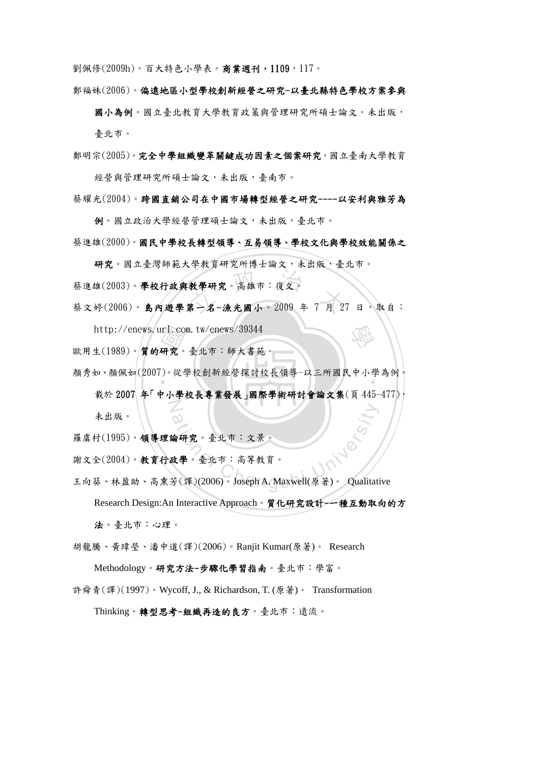劉佩修(2009h)。百大特色小學表。商業週刊,1109,117。

鄭福妹(2006)。偏遠地區小型學校創新經營之研究-以臺北縣特色學校方案參與

國小為例。國立臺北教育大學教育政策與管理研究所碩士論文。未出版, 臺北市。

鄭明宗(2005)。完全中學組織變革關鍵成功因素之個案研究。國立臺南大學教育

經營與管理研究所碩士論文,未出版,臺南市。

蔡耀光(2004)。跨國直銷公司在中國市場轉型經營之研究----以安利與雅芳為

例。國立政治大學經營管理碩士論文,未出版,臺北市。

蔡進雄(2000)。國民中學校長轉型領導、互易領導、學校文化與學校效能關係之

- 研究。國立臺灣師範大學教育研究所博士論文,未出版,臺北市。
- 蔡進雄(2003)。學校行政與教學研究。高雄市:復文。
- 第進雄(2003)。學校行政與教學研究。高雄市:復文。<br>蔡文婷(2006)。島內遊學第一名-漁光國小。2009年7月27日,取自:

http://enews.url.com.tw/enews/39344

- 歐用生(1989)。質的研究。臺北市:師大書苑。
- url.com<br>研究。<br>h.t.<sup>奥</sup> 顏秀如、顏佩如(2007)。從學校創新經營探討校長領導-以三所國民中小學為例。

N 載於 2007 年「中小學校長專業發展」國際學術研討會論文集(頁 445-477) 未出版。

學

羅虞村(1995)。領導理論研究。臺北市:文景。

謝文全(2004)。教育行政學。臺北市:高等教育。

- 未出版。<br>羅虞村(1995)。**領導理論研究**。臺北市:文景。<br>謝文全(2004)。**教育行政學**。臺北市:高等教育。<br>王向葵、林盈助、高熏芳(譯)(2006)。Joseph A. Maxwell(原著)。 Qualitative Research Design:An Interactive Approach。質化研究設計-一種互動取向的方 法。臺北市:心理。
- 胡龍騰、黃瑋瑩、潘中道(譯)(2006)。Ranjit Kumar(原著)。 Research

Methodology。研究方法-步驟化學習指南。臺北市:學富。

許舜青(譯)(1997)。Wycoff, J., & Richardson, T. (原著)。 Transformation

Thinking。轉型思考-組織再造的良方。臺北市:遠流。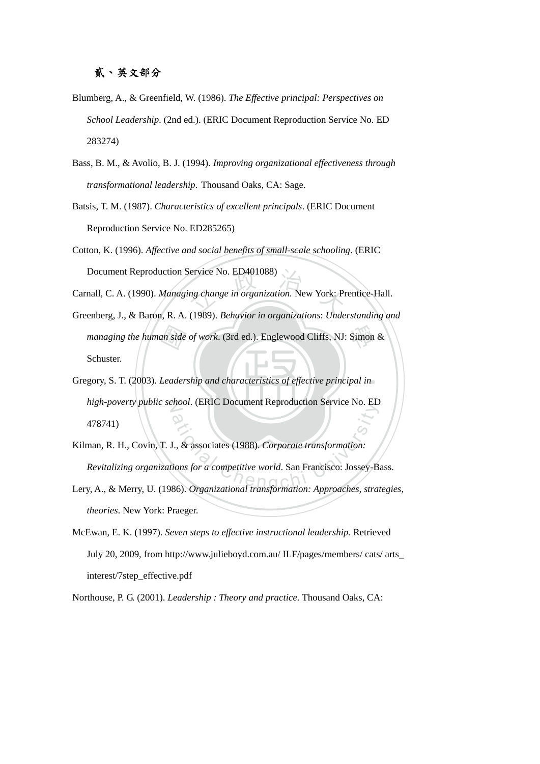## 貳、英文部分

- Blumberg, A., & Greenfield, W. (1986). *The Effective principal: Perspectives on School Leadership*. (2nd ed.). (ERIC Document Reproduction Service No. ED 283274)
- Bass, B. M., & Avolio, B. J. (1994). *Improving organizational effectiveness through transformational leadership*. Thousand Oaks, CA: Sage.
- Batsis, T. M. (1987). *Characteristics of excellent principals*. (ERIC Document Reproduction Service No. ED285265)
- Cotton, K. (1996). *Affective and social benefits of small-scale schooling*. (ERIC Document Reproduction Service No. ED401088)

Service No. ED401088)<br>
ing change in organization. New York: Pr<br>
(1080). *Pehavior in organizations*: Undo Carnall, C. A. (1990). *Managing change in organization.* New York: Prentice-Hall.

- an side of work. (3rd ed.). Englewood Cliffs, NJ: Simon<br>Leadership and characteristics of effective principal in Greenberg, J., & Baron, R. A. (1989). *Behavior in organizations*: *Understanding and managing the human side of work*. (3rd ed.). Englewood Cliffs, NJ: Simon & Schuster.
- Gregory, S. T. (2003). *Leadership and characteristics of effective principal in* high-poverty public school. (ERIC Document Reproduction Service No. ED 478741)
- moot. (ENC Bocument Reproduction Set vice No. EB<br>
1., & associates (1988). Corporate transformation:<br>
ions for a competitive world. San Francisco: Jossey-B<br>
86). Organizational transformation: Approaches. stra Kilman, R. H., Covin, T. J., & associates (1988). *Corporate transformation: Revitalizing organizations for a competitive world*. San Francisco: Jossey-Bass.
- Lery, A., & Merry, U. (1986). *Organizational transformation: Approaches, strategies, theories*. New York: Praeger.
- McEwan, E. K. (1997). *Seven steps to effective instructional leadership.* Retrieved July 20, 2009, from http://www.julieboyd.com.au/ ILF/pages/members/ cats/ arts\_ interest/7step\_effective.pdf

Northouse, P. G. (2001). *Leadership : Theory and practice.* Thousand Oaks, CA: